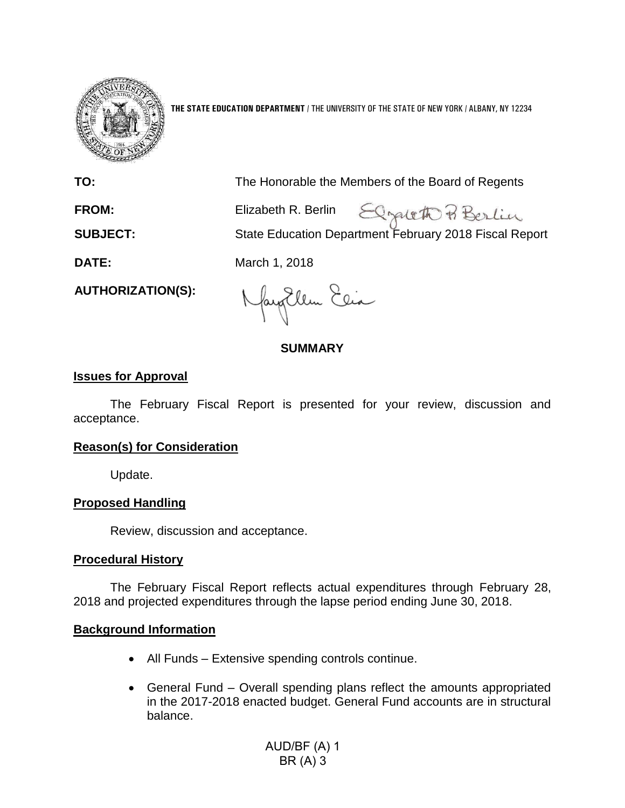

**THE STATE EDUCATION DEPARTMENT** / THE UNIVERSITY OF THE STATE OF NEW YORK / ALBANY, NY 12234

**TO:** The Honorable the Members of the Board of Regents

Elgateth Berlin FROM: Elizabeth R. Berlin **SUBJECT:** State Education Department February 2018 Fiscal Report

**DATE:** March 1, 2018

**AUTHORIZATION(S):**

Naytlem Elia

# **SUMMARY**

## **Issues for Approval**

The February Fiscal Report is presented for your review, discussion and acceptance.

# **Reason(s) for Consideration**

Update.

# **Proposed Handling**

Review, discussion and acceptance.

### **Procedural History**

The February Fiscal Report reflects actual expenditures through February 28, 2018 and projected expenditures through the lapse period ending June 30, 2018.

### **Background Information**

- All Funds Extensive spending controls continue.
- General Fund Overall spending plans reflect the amounts appropriated in the 2017-2018 enacted budget. General Fund accounts are in structural balance.

AUD/BF (A) 1 BR (A) 3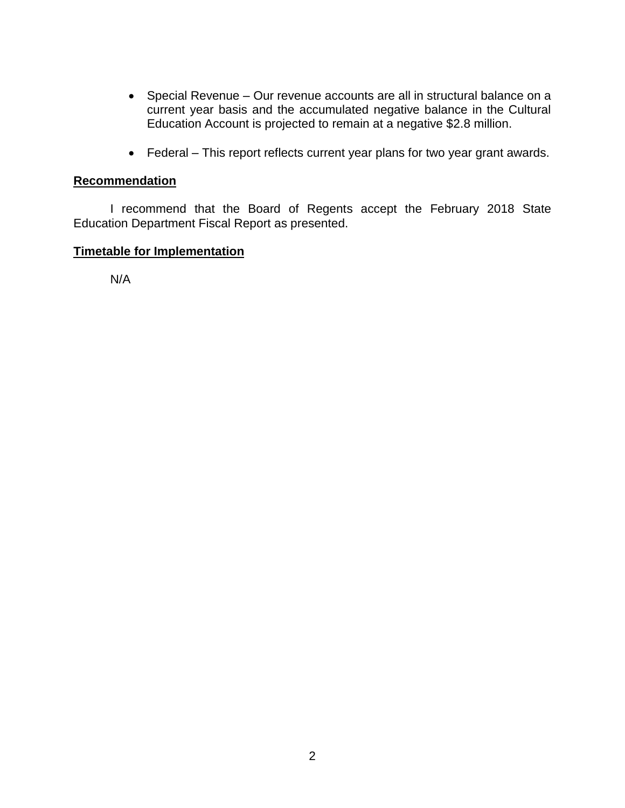- Special Revenue Our revenue accounts are all in structural balance on a current year basis and the accumulated negative balance in the Cultural Education Account is projected to remain at a negative \$2.8 million.
- Federal This report reflects current year plans for two year grant awards.

## **Recommendation**

I recommend that the Board of Regents accept the February 2018 State Education Department Fiscal Report as presented.

## **Timetable for Implementation**

N/A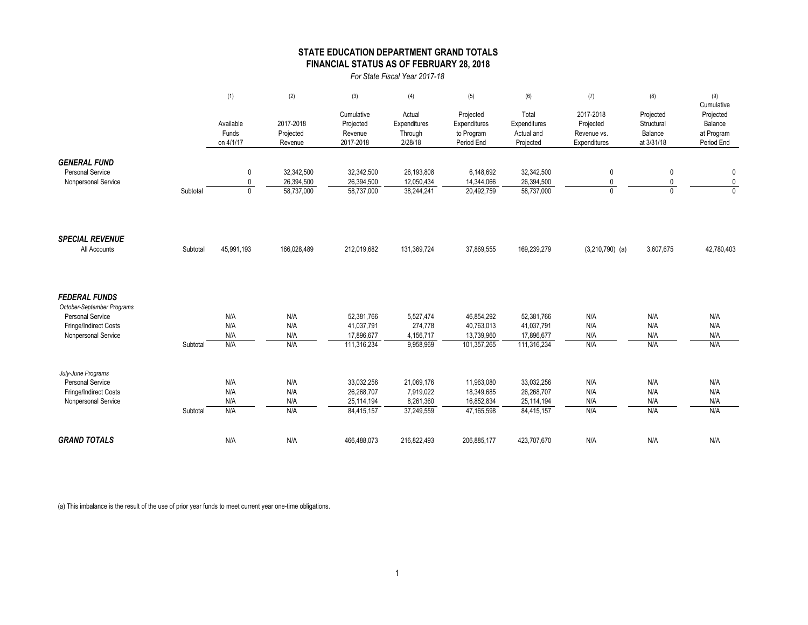### **STATE EDUCATION DEPARTMENT GRAND TOTALS FINANCIAL STATUS AS OF FEBRUARY 28, 2018**

*For State Fiscal Year 2017-18*

|                                                                                                                               |          | (1)                             | (2)                                    | (3)                                                   | (4)                                                | (5)                                                   | (6)                                                   | (7)                                                   | (8)                                              | (9)                                                            |
|-------------------------------------------------------------------------------------------------------------------------------|----------|---------------------------------|----------------------------------------|-------------------------------------------------------|----------------------------------------------------|-------------------------------------------------------|-------------------------------------------------------|-------------------------------------------------------|--------------------------------------------------|----------------------------------------------------------------|
|                                                                                                                               |          | Available<br>Funds<br>on 4/1/17 | 2017-2018<br>Projected<br>Revenue      | Cumulative<br>Projected<br>Revenue<br>2017-2018       | Actual<br>Expenditures<br>Through<br>2/28/18       | Projected<br>Expenditures<br>to Program<br>Period End | Total<br>Expenditures<br>Actual and<br>Projected      | 2017-2018<br>Projected<br>Revenue vs.<br>Expenditures | Projected<br>Structural<br>Balance<br>at 3/31/18 | Cumulative<br>Projected<br>Balance<br>at Program<br>Period End |
| <b>GENERAL FUND</b><br><b>Personal Service</b><br>Nonpersonal Service                                                         | Subtotal | 0<br>0<br>$\mathbf{0}$          | 32,342,500<br>26,394,500<br>58,737,000 | 32,342,500<br>26,394,500<br>58,737,000                | 26,193,808<br>12,050,434<br>38,244,241             | 6,148,692<br>14,344,066<br>20,492,759                 | 32,342,500<br>26,394,500<br>58,737,000                | 0<br>0<br>$\mathbf{0}$                                | 0<br>0<br>$\mathbf{0}$                           | $\mathbf 0$<br>$\pmb{0}$<br>$\overline{0}$                     |
| <b>SPECIAL REVENUE</b><br>All Accounts                                                                                        | Subtotal | 45,991,193                      | 166,028,489                            | 212,019,682                                           | 131,369,724                                        | 37,869,555                                            | 169,239,279                                           | $(3,210,790)$ (a)                                     | 3,607,675                                        | 42,780,403                                                     |
| <b>FEDERAL FUNDS</b><br>October-September Programs<br><b>Personal Service</b><br>Fringe/Indirect Costs<br>Nonpersonal Service | Subtotal | N/A<br>N/A<br>N/A<br>N/A        | N/A<br>N/A<br>N/A<br>N/A               | 52,381,766<br>41,037,791<br>17,896,677<br>111,316,234 | 5,527,474<br>274,778<br>4,156,717<br>9,958,969     | 46,854,292<br>40,763,013<br>13,739,960<br>101,357,265 | 52,381,766<br>41,037,791<br>17,896,677<br>111,316,234 | N/A<br>N/A<br>N/A<br>N/A                              | N/A<br>N/A<br>N/A<br>N/A                         | N/A<br>N/A<br>N/A<br>N/A                                       |
| July-June Programs<br><b>Personal Service</b><br>Fringe/Indirect Costs<br>Nonpersonal Service                                 | Subtotal | N/A<br>N/A<br>N/A<br>N/A        | N/A<br>N/A<br>N/A<br>N/A               | 33,032,256<br>26,268,707<br>25,114,194<br>84,415,157  | 21,069,176<br>7,919,022<br>8,261,360<br>37,249,559 | 11,963,080<br>18,349,685<br>16,852,834<br>47,165,598  | 33,032,256<br>26,268,707<br>25,114,194<br>84,415,157  | N/A<br>N/A<br>N/A<br>N/A                              | N/A<br>N/A<br>N/A<br>N/A                         | N/A<br>N/A<br>N/A<br>N/A                                       |
| <b>GRAND TOTALS</b>                                                                                                           |          | N/A                             | N/A                                    | 466,488,073                                           | 216,822,493                                        | 206,885,177                                           | 423,707,670                                           | N/A                                                   | N/A                                              | N/A                                                            |

(a) This imbalance is the result of the use of prior year funds to meet current year one-time obligations.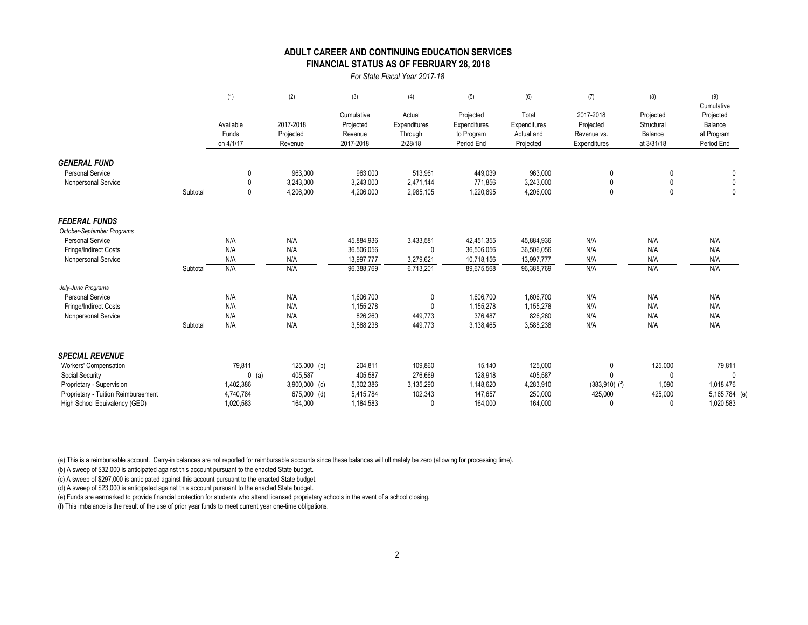### **FINANCIAL STATUS AS OF FEBRUARY 28, 2018 ADULT CAREER AND CONTINUING EDUCATION SERVICES**

*For State Fiscal Year 2017-18*

|                                     |          | (1)                             | (2)                               | (3)                                             | (4)                                          | (5)                                                   | (6)                                              | (7)                                                   | (8)                                              | (9)<br>Cumulative                                |
|-------------------------------------|----------|---------------------------------|-----------------------------------|-------------------------------------------------|----------------------------------------------|-------------------------------------------------------|--------------------------------------------------|-------------------------------------------------------|--------------------------------------------------|--------------------------------------------------|
|                                     |          | Available<br>Funds<br>on 4/1/17 | 2017-2018<br>Projected<br>Revenue | Cumulative<br>Projected<br>Revenue<br>2017-2018 | Actual<br>Expenditures<br>Through<br>2/28/18 | Projected<br>Expenditures<br>to Program<br>Period End | Total<br>Expenditures<br>Actual and<br>Projected | 2017-2018<br>Projected<br>Revenue vs.<br>Expenditures | Projected<br>Structural<br>Balance<br>at 3/31/18 | Projected<br>Balance<br>at Program<br>Period End |
| <b>GENERAL FUND</b>                 |          |                                 |                                   |                                                 |                                              |                                                       |                                                  |                                                       |                                                  |                                                  |
| <b>Personal Service</b>             |          | 0                               | 963,000                           | 963,000                                         | 513,961                                      | 449,039                                               | 963,000                                          | 0                                                     | $\mathbf{0}$                                     | 0                                                |
| Nonpersonal Service                 |          | $\Omega$                        | 3,243,000                         | 3,243,000                                       | 2,471,144                                    | 771,856                                               | 3,243,000                                        |                                                       |                                                  |                                                  |
|                                     | Subtotal | $\mathbf{0}$                    | 4,206,000                         | 4,206,000                                       | 2,985,105                                    | 1,220,895                                             | 4,206,000                                        | $\mathbf{0}$                                          | $\Omega$                                         |                                                  |
| <b>FEDERAL FUNDS</b>                |          |                                 |                                   |                                                 |                                              |                                                       |                                                  |                                                       |                                                  |                                                  |
| October-September Programs          |          |                                 |                                   |                                                 |                                              |                                                       |                                                  |                                                       |                                                  |                                                  |
| Personal Service                    |          | N/A                             | N/A                               | 45,884,936                                      | 3,433,581                                    | 42,451,355                                            | 45,884,936                                       | N/A                                                   | N/A                                              | N/A                                              |
| Fringe/Indirect Costs               |          | N/A                             | N/A                               | 36,506,056                                      | $\Omega$                                     | 36,506,056                                            | 36,506,056                                       | N/A                                                   | N/A                                              | N/A                                              |
| Nonpersonal Service                 |          | N/A                             | N/A                               | 13,997,777                                      | 3,279,621                                    | 10,718,156                                            | 13,997,777                                       | N/A                                                   | N/A                                              | N/A                                              |
|                                     | Subtotal | N/A                             | N/A                               | 96,388,769                                      | 6,713,201                                    | 89,675,568                                            | 96,388,769                                       | N/A                                                   | N/A                                              | N/A                                              |
| July-June Programs                  |          |                                 |                                   |                                                 |                                              |                                                       |                                                  |                                                       |                                                  |                                                  |
| <b>Personal Service</b>             |          | N/A                             | N/A                               | 1,606,700                                       | 0                                            | 1,606,700                                             | 1,606,700                                        | N/A                                                   | N/A                                              | N/A                                              |
| Fringe/Indirect Costs               |          | N/A                             | N/A                               | 1,155,278                                       | 0                                            | 1,155,278                                             | 1,155,278                                        | N/A                                                   | N/A                                              | N/A                                              |
| Nonpersonal Service                 |          | N/A                             | N/A                               | 826,260                                         | 449,773                                      | 376,487                                               | 826,260                                          | N/A                                                   | N/A                                              | N/A                                              |
|                                     | Subtotal | N/A                             | N/A                               | 3,588,238                                       | 449,773                                      | 3,138,465                                             | 3,588,238                                        | N/A                                                   | N/A                                              | N/A                                              |
| <b>SPECIAL REVENUE</b>              |          |                                 |                                   |                                                 |                                              |                                                       |                                                  |                                                       |                                                  |                                                  |
| Workers' Compensation               |          | 79,811                          | $125,000$ (b)                     | 204,811                                         | 109,860                                      | 15,140                                                | 125,000                                          | 0                                                     | 125,000                                          | 79,811                                           |
| Social Security                     |          | $0$ (a)                         | 405,587                           | 405,587                                         | 276,669                                      | 128,918                                               | 405,587                                          | $\Omega$                                              | $\Omega$                                         |                                                  |
| Proprietary - Supervision           |          | 1,402,386                       | $3,900,000$ (c)                   | 5,302,386                                       | 3,135,290                                    | 1,148,620                                             | 4,283,910                                        | $(383,910)$ (f)                                       | 1,090                                            | 1,018,476                                        |
| Proprietary - Tuition Reimbursement |          | 4,740,784                       | 675,000 (d)                       | 5,415,784                                       | 102,343                                      | 147,657                                               | 250,000                                          | 425,000                                               | 425,000                                          | 5,165,784 (e)                                    |
| High School Equivalency (GED)       |          | 1,020,583                       | 164,000                           | 1,184,583                                       | $\Omega$                                     | 164.000                                               | 164.000                                          | $\Omega$                                              | $\Omega$                                         | 1,020,583                                        |

(a) This is a reimbursable account. Carry-in balances are not reported for reimbursable accounts since these balances will ultimately be zero (allowing for processing time).

(b) A sweep of \$32,000 is anticipated against this account pursuant to the enacted State budget.

(c) A sweep of \$297,000 is anticipated against this account pursuant to the enacted State budget.

(d) A sweep of \$23,000 is anticipated against this account pursuant to the enacted State budget.

(e) Funds are earmarked to provide financial protection for students who attend licensed proprietary schools in the event of a school closing.

(f) This imbalance is the result of the use of prior year funds to meet current year one-time obligations.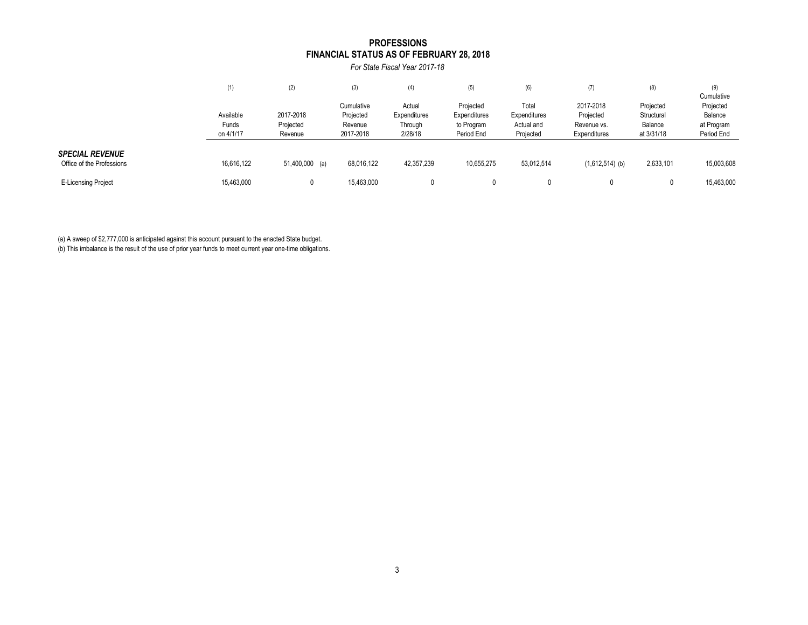#### **FINANCIAL STATUS AS OF FEBRUARY 28, 2018 PROFESSIONS**

*For State Fiscal Year 2017-18*

|                            | (1)        | (2)            | (3)                     | (4)                    | (5)                       | (6)                   | (7)                    | (8)                     | (9)<br>Cumulative    |
|----------------------------|------------|----------------|-------------------------|------------------------|---------------------------|-----------------------|------------------------|-------------------------|----------------------|
|                            | Available  | 2017-2018      | Cumulative<br>Projected | Actual<br>Expenditures | Projected<br>Expenditures | Total<br>Expenditures | 2017-2018<br>Projected | Projected<br>Structural | Projected<br>Balance |
|                            | Funds      | Projected      | Revenue                 | Through                | to Program                | Actual and            | Revenue vs.            | Balance                 | at Program           |
|                            | on 4/1/17  | Revenue        | 2017-2018               | 2/28/18                | Period End                | Projected             | Expenditures           | at 3/31/18              | Period End           |
| <b>SPECIAL REVENUE</b>     |            |                |                         |                        |                           |                       |                        |                         |                      |
| Office of the Professions  | 16,616,122 | 51,400,000 (a) | 68,016,122              | 42,357,239             | 10,655,275                | 53,012,514            | $(1,612,514)$ (b)      | 2,633,101               | 15,003,608           |
| <b>E-Licensing Project</b> | 15,463,000 |                | 15,463,000              |                        |                           |                       |                        |                         | 15,463,000           |

(a) A sweep of \$2,777,000 is anticipated against this account pursuant to the enacted State budget.

(b) This imbalance is the result of the use of prior year funds to meet current year one-time obligations.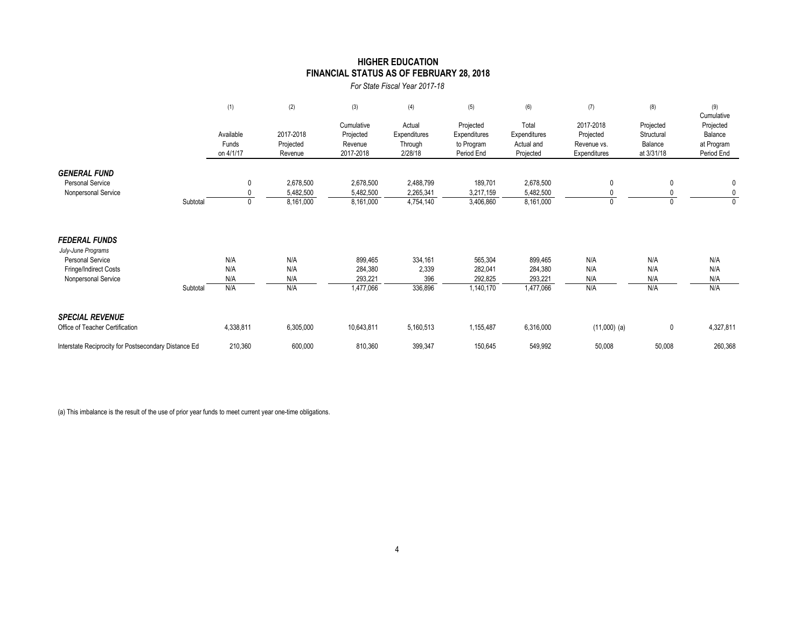### **FINANCIAL STATUS AS OF FEBRUARY 28, 2018 HIGHER EDUCATION**

*For State Fiscal Year 2017-18*

|                                                                                                                       |          | (1)                             | (2)                                 | (3)                                             | (4)                                          | (5)                                                   | (6)                                              | (7)                                                   | (8)                                              | (9)<br>Cumulative                                |
|-----------------------------------------------------------------------------------------------------------------------|----------|---------------------------------|-------------------------------------|-------------------------------------------------|----------------------------------------------|-------------------------------------------------------|--------------------------------------------------|-------------------------------------------------------|--------------------------------------------------|--------------------------------------------------|
|                                                                                                                       |          | Available<br>Funds<br>on 4/1/17 | 2017-2018<br>Projected<br>Revenue   | Cumulative<br>Projected<br>Revenue<br>2017-2018 | Actual<br>Expenditures<br>Through<br>2/28/18 | Projected<br>Expenditures<br>to Program<br>Period End | Total<br>Expenditures<br>Actual and<br>Projected | 2017-2018<br>Projected<br>Revenue vs.<br>Expenditures | Projected<br>Structural<br>Balance<br>at 3/31/18 | Projected<br>Balance<br>at Program<br>Period End |
| <b>GENERAL FUND</b><br><b>Personal Service</b><br>Nonpersonal Service                                                 | Subtotal | 0<br>$\bigcap$                  | 2,678,500<br>5,482,500<br>8,161,000 | 2,678,500<br>5,482,500<br>8,161,000             | 2,488,799<br>2,265,341<br>4,754,140          | 189,701<br>3,217,159<br>3,406,860                     | 2,678,500<br>5,482,500<br>8,161,000              | 0<br>0                                                | 0                                                | 0<br>0<br>$\mathbf{0}$                           |
| <b>FEDERAL FUNDS</b><br>July-June Programs<br><b>Personal Service</b><br>Fringe/Indirect Costs<br>Nonpersonal Service | Subtotal | N/A<br>N/A<br>N/A<br>N/A        | N/A<br>N/A<br>N/A<br>N/A            | 899,465<br>284,380<br>293,221<br>1,477,066      | 334,161<br>2,339<br>396<br>336,896           | 565,304<br>282,041<br>292,825<br>1,140,170            | 899,465<br>284,380<br>293,221<br>1,477,066       | N/A<br>N/A<br>N/A<br>N/A                              | N/A<br>N/A<br>N/A<br>N/A                         | N/A<br>N/A<br>N/A<br>N/A                         |
| <b>SPECIAL REVENUE</b><br>Office of Teacher Certification                                                             |          | 4,338,811                       | 6,305,000                           | 10,643,811                                      | 5,160,513                                    | 1,155,487                                             | 6,316,000                                        | $(11,000)$ (a)                                        | 0                                                | 4,327,811                                        |
| Interstate Reciprocity for Postsecondary Distance Ed                                                                  |          | 210,360                         | 600,000                             | 810,360                                         | 399,347                                      | 150,645                                               | 549,992                                          | 50,008                                                | 50,008                                           | 260,368                                          |

(a) This imbalance is the result of the use of prior year funds to meet current year one-time obligations.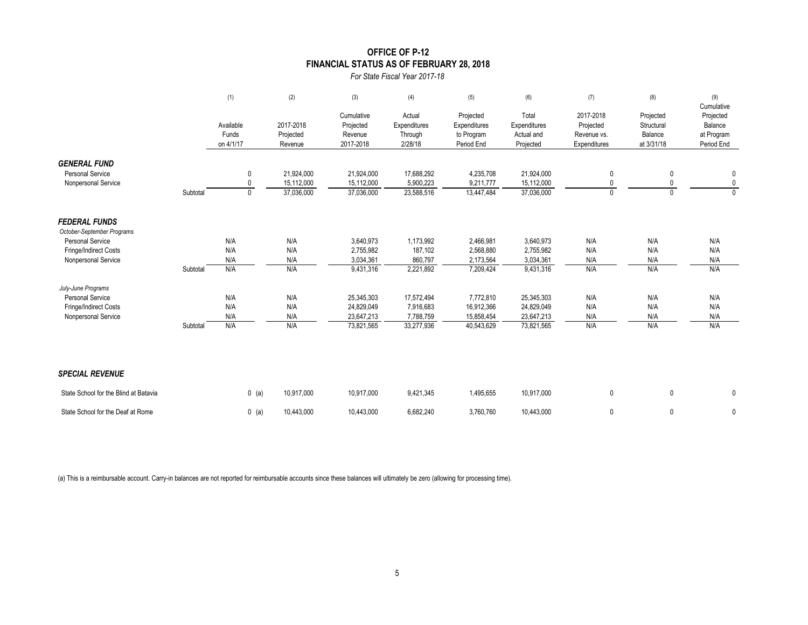### **OFFICE OF P-12 FINANCIAL STATUS AS OF FEBRUARY 28, 2018**

*For State Fiscal Year 2017-18*

|                                                                       |          | (1)                             | (2)                                    | (3)                                             | (4)                                          | (5)                                                   | (6)                                              | (7)                                                   | (8)                                              | (9)<br>Cumulative                                |
|-----------------------------------------------------------------------|----------|---------------------------------|----------------------------------------|-------------------------------------------------|----------------------------------------------|-------------------------------------------------------|--------------------------------------------------|-------------------------------------------------------|--------------------------------------------------|--------------------------------------------------|
|                                                                       |          | Available<br>Funds<br>on 4/1/17 | 2017-2018<br>Projected<br>Revenue      | Cumulative<br>Projected<br>Revenue<br>2017-2018 | Actual<br>Expenditures<br>Through<br>2/28/18 | Projected<br>Expenditures<br>to Program<br>Period End | Total<br>Expenditures<br>Actual and<br>Projected | 2017-2018<br>Projected<br>Revenue vs.<br>Expenditures | Projected<br>Structural<br>Balance<br>at 3/31/18 | Projected<br>Balance<br>at Program<br>Period End |
| <b>GENERAL FUND</b><br><b>Personal Service</b><br>Nonpersonal Service | Subtotal | 0<br>0<br>0                     | 21,924,000<br>15,112,000<br>37,036,000 | 21,924,000<br>15,112,000<br>37,036,000          | 17,688,292<br>5,900,223<br>23,588,516        | 4,235,708<br>9,211,777<br>13,447,484                  | 21,924,000<br>15,112,000<br>37,036,000           | 0<br>0<br>$\mathbf{0}$                                | 0<br>0<br>$\mathbf{0}$                           | 0<br>$\mathbf 0$<br>$\mathbf{0}$                 |
| <b>FEDERAL FUNDS</b><br>October-September Programs                    |          |                                 |                                        |                                                 |                                              |                                                       |                                                  |                                                       |                                                  |                                                  |
| <b>Personal Service</b>                                               |          | N/A                             | N/A                                    | 3,640,973                                       | 1,173,992                                    | 2,466,981                                             | 3,640,973                                        | N/A                                                   | N/A                                              | N/A                                              |
| Fringe/Indirect Costs                                                 |          | N/A                             | N/A                                    | 2,755,982                                       | 187,102                                      | 2,568,880                                             | 2,755,982                                        | N/A                                                   | N/A                                              | N/A                                              |
| Nonpersonal Service                                                   |          | N/A                             | N/A                                    | 3,034,361                                       | 860,797                                      | 2,173,564                                             | 3,034,361                                        | N/A                                                   | N/A                                              | N/A                                              |
|                                                                       | Subtotal | N/A                             | N/A                                    | 9,431,316                                       | 2,221,892                                    | 7,209,424                                             | 9,431,316                                        | N/A                                                   | N/A                                              | N/A                                              |
| July-June Programs                                                    |          |                                 |                                        |                                                 |                                              |                                                       |                                                  |                                                       |                                                  |                                                  |
| Personal Service                                                      |          | N/A                             | N/A                                    | 25,345,303                                      | 17,572,494                                   | 7,772,810                                             | 25,345,303                                       | N/A                                                   | N/A                                              | N/A                                              |
| Fringe/Indirect Costs                                                 |          | N/A                             | N/A                                    | 24,829,049                                      | 7,916,683                                    | 16,912,366                                            | 24,829,049                                       | N/A                                                   | N/A                                              | N/A                                              |
| Nonpersonal Service                                                   |          | N/A                             | N/A                                    | 23,647,213                                      | 7,788,759                                    | 15,858,454                                            | 23,647,213                                       | N/A                                                   | N/A                                              | N/A                                              |
|                                                                       | Subtotal | N/A                             | N/A                                    | 73,821,565                                      | 33,277,936                                   | 40,543,629                                            | 73,821,565                                       | N/A                                                   | N/A                                              | N/A                                              |
| <b>SPECIAL REVENUE</b>                                                |          |                                 |                                        |                                                 |                                              |                                                       |                                                  |                                                       |                                                  |                                                  |
| State School for the Blind at Batavia                                 |          | $0$ (a)                         | 10,917,000                             | 10,917,000                                      | 9,421,345                                    | 1,495,655                                             | 10,917,000                                       | 0                                                     | $\mathbf 0$                                      | 0                                                |
| State School for the Deaf at Rome                                     |          | $0$ (a)                         | 10.443.000                             | 10,443,000                                      | 6,682,240                                    | 3,760,760                                             | 10.443.000                                       | 0                                                     | 0                                                | 0                                                |

(a) This is a reimbursable account. Carry-in balances are not reported for reimbursable accounts since these balances will ultimately be zero (allowing for processing time).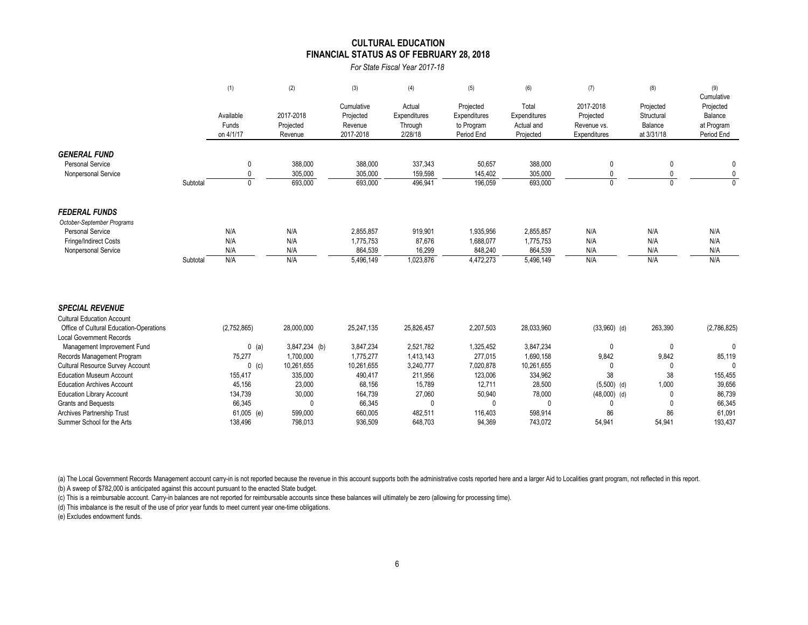#### **CULTURAL EDUCATION FINANCIAL STATUS AS OF FEBRUARY 28, 2018**

*For State Fiscal Year 2017-18*

|                                                                            |          | (1)                | (2)                  | (3)                     | (4)                    | (5)                       | (6)                     | (7)                         | (8)                     | (9)<br>Cumulative        |
|----------------------------------------------------------------------------|----------|--------------------|----------------------|-------------------------|------------------------|---------------------------|-------------------------|-----------------------------|-------------------------|--------------------------|
|                                                                            |          | Available          | 2017-2018            | Cumulative<br>Projected | Actual<br>Expenditures | Projected<br>Expenditures | Total<br>Expenditures   | 2017-2018<br>Projected      | Projected<br>Structural | Projected<br>Balance     |
|                                                                            |          | Funds<br>on 4/1/17 | Projected<br>Revenue | Revenue<br>2017-2018    | Through<br>2/28/18     | to Program<br>Period End  | Actual and<br>Projected | Revenue vs.<br>Expenditures | Balance<br>at 3/31/18   | at Program<br>Period End |
| <b>GENERAL FUND</b>                                                        |          |                    |                      |                         |                        |                           |                         |                             |                         |                          |
| <b>Personal Service</b>                                                    |          | 0                  | 388,000              | 388,000                 | 337,343                | 50,657                    | 388,000                 | 0                           | 0                       | 0                        |
| Nonpersonal Service                                                        |          | $\mathbf{0}$       | 305,000              | 305,000                 | 159,598                | 145,402                   | 305,000                 | $\mathbf{0}$                | 0                       | 0                        |
|                                                                            | Subtotal | $\mathbf{0}$       | 693,000              | 693,000                 | 496,941                | 196.059                   | 693,000                 | $\Omega$                    | $\Omega$                | $\Omega$                 |
| <b>FEDERAL FUNDS</b>                                                       |          |                    |                      |                         |                        |                           |                         |                             |                         |                          |
| October-September Programs                                                 |          |                    |                      |                         |                        |                           |                         |                             |                         |                          |
| <b>Personal Service</b>                                                    |          | N/A                | N/A                  | 2,855,857               | 919,901                | 1,935,956                 | 2,855,857               | N/A                         | N/A                     | N/A                      |
| Fringe/Indirect Costs                                                      |          | N/A                | N/A                  | 1,775,753               | 87,676                 | 1,688,077                 | 1,775,753               | N/A                         | N/A                     | N/A                      |
| Nonpersonal Service                                                        |          | N/A                | N/A                  | 864,539                 | 16,299                 | 848,240                   | 864,539                 | N/A                         | N/A                     | N/A                      |
|                                                                            | Subtotal | N/A                | N/A                  | 5,496,149               | 1,023,876              | 4,472,273                 | 5,496,149               | N/A                         | N/A                     | N/A                      |
| <b>SPECIAL REVENUE</b>                                                     |          |                    |                      |                         |                        |                           |                         |                             |                         |                          |
| <b>Cultural Education Account</b>                                          |          |                    |                      |                         |                        |                           |                         |                             |                         |                          |
| Office of Cultural Education-Operations<br><b>Local Government Records</b> |          | (2,752,865)        | 28,000,000           | 25,247,135              | 25,826,457             | 2,207,503                 | 28,033,960              | $(33,960)$ (d)              | 263,390                 | (2,786,825)              |
| Management Improvement Fund                                                |          | $0$ (a)            | 3,847,234 (b)        | 3,847,234               | 2,521,782              | 1,325,452                 | 3,847,234               | 0                           | $\mathbf 0$             | $\Omega$                 |
| Records Management Program                                                 |          | 75,277             | 1,700,000            | 1,775,277               | 1,413,143              | 277,015                   | 1,690,158               | 9,842                       | 9,842                   | 85,119                   |
| Cultural Resource Survey Account                                           |          | $0$ (c)            | 10,261,655           | 10,261,655              | 3,240,777              | 7,020,878                 | 10,261,655              | 0                           | $\mathbf{0}$            | $\Omega$                 |
| <b>Education Museum Account</b>                                            |          | 155,417            | 335,000              | 490,417                 | 211,956                | 123,006                   | 334,962                 | 38                          | 38                      | 155,455                  |
| <b>Education Archives Account</b>                                          |          | 45,156             | 23,000               | 68,156                  | 15,789                 | 12,711                    | 28,500                  | $(5,500)$ (d)               | 1,000                   | 39,656                   |
| <b>Education Library Account</b>                                           |          | 134,739            | 30,000               | 164,739                 | 27,060                 | 50,940                    | 78,000                  | $(48,000)$ (d)              | 0                       | 86,739                   |
| Grants and Bequests                                                        |          | 66,345             | 0                    | 66,345                  | 0                      | 0                         | 0                       | $\Omega$                    |                         | 66,345                   |
| <b>Archives Partnership Trust</b>                                          |          | 61,005 (e)         | 599.000              | 660.005                 | 482.511                | 116.403                   | 598.914                 | 86                          | 86                      | 61.091                   |

(a) The Local Government Records Management account carry-in is not reported because the revenue in this account supports both the administrative costs reported here and a larger Aid to Localities grant program, not reflec

(b) A sweep of \$782,000 is anticipated against this account pursuant to the enacted State budget.

(c) This is a reimbursable account. Carry-in balances are not reported for reimbursable accounts since these balances will ultimately be zero (allowing for processing time).

(d) This imbalance is the result of the use of prior year funds to meet current year one-time obligations.

(e) Excludes endowment funds.

Summer School for the Arts 138,496 798,013 936,509 648,703 94,369 743,072 54,941 54,941 193,437